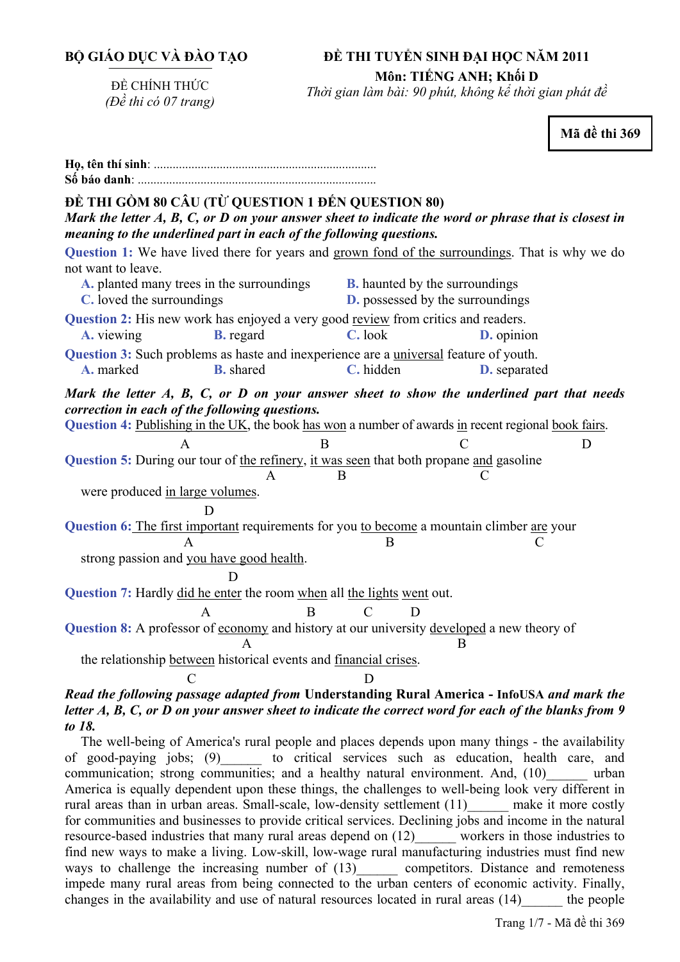#### **ĐỀ THI TUYỂN SINH ĐẠI HỌC NĂM 2011**

ĐỀ CHÍNH THỨC *(Đề thi có 07 trang)* 

**Môn: TIẾNG ANH; Khối D**  *Thời gian làm bài: 90 phút, không kể thời gian phát đề*

**Mã đề thi 369** 

| ĐỀ THI GỒM 80 CÂU (TỪ QUESTION 1 ĐẾN QUESTION 80)<br>Mark the letter A, B, C, or D on your answer sheet to indicate the word or phrase that is closest in<br>meaning to the underlined part in each of the following questions.                     |                  |           |                                         |   |
|-----------------------------------------------------------------------------------------------------------------------------------------------------------------------------------------------------------------------------------------------------|------------------|-----------|-----------------------------------------|---|
| Question 1: We have lived there for years and grown fond of the surroundings. That is why we do                                                                                                                                                     |                  |           |                                         |   |
| not want to leave.                                                                                                                                                                                                                                  |                  |           |                                         |   |
| A. planted many trees in the surroundings                                                                                                                                                                                                           |                  |           | <b>B.</b> haunted by the surroundings   |   |
| C. loved the surroundings                                                                                                                                                                                                                           |                  |           | <b>D.</b> possessed by the surroundings |   |
| Question 2: His new work has enjoyed a very good review from critics and readers.                                                                                                                                                                   |                  |           |                                         |   |
| A. viewing                                                                                                                                                                                                                                          | <b>B.</b> regard | C. look   | D. opinion                              |   |
| Question 3: Such problems as haste and inexperience are a universal feature of youth.                                                                                                                                                               |                  |           |                                         |   |
| A. marked                                                                                                                                                                                                                                           | <b>B.</b> shared | C. hidden | D. separated                            |   |
| Mark the letter A, B, C, or D on your answer sheet to show the underlined part that needs<br>correction in each of the following questions.<br>Question 4: Publishing in the UK, the book has won a number of awards in recent regional book fairs. |                  |           |                                         |   |
| $\mathbf{A}$                                                                                                                                                                                                                                        | B                |           | $\mathcal{C}$                           | D |
| Question 5: During our tour of the refinery, it was seen that both propane and gasoline                                                                                                                                                             |                  |           |                                         |   |
|                                                                                                                                                                                                                                                     | $\mathbf{A}$     | B         | C                                       |   |
| were produced in large volumes.                                                                                                                                                                                                                     |                  |           |                                         |   |
| D                                                                                                                                                                                                                                                   |                  |           |                                         |   |
| Question 6: The first important requirements for you to become a mountain climber are your                                                                                                                                                          |                  |           |                                         |   |
| B<br>C                                                                                                                                                                                                                                              |                  |           |                                         |   |
| strong passion and you have good health.                                                                                                                                                                                                            |                  |           |                                         |   |
| D                                                                                                                                                                                                                                                   |                  |           |                                         |   |
| Question 7: Hardly did he enter the room when all the lights went out.                                                                                                                                                                              |                  |           |                                         |   |
| $\mathcal{C}$<br>B<br>D<br>A                                                                                                                                                                                                                        |                  |           |                                         |   |
| Question 8: A professor of economy and history at our university developed a new theory of<br>R                                                                                                                                                     |                  |           |                                         |   |
| the relationship between historical events and financial crises.                                                                                                                                                                                    |                  |           |                                         |   |
| $\mathcal{C}$                                                                                                                                                                                                                                       |                  | D         |                                         |   |
| Read the following passage adapted from Understanding Rural America - InfoUSA and mark the                                                                                                                                                          |                  |           |                                         |   |

# *letter A, B, C, or D on your answer sheet to indicate the correct word for each of the blanks from 9 to 18.*

The well-being of America's rural people and places depends upon many things - the availability of good-paying jobs; (9) to critical services such as education, health care, and communication; strong communities; and a healthy natural environment. And, (10) urban America is equally dependent upon these things, the challenges to well-being look very different in rural areas than in urban areas. Small-scale, low-density settlement (11) make it more costly for communities and businesses to provide critical services. Declining jobs and income in the natural resource-based industries that many rural areas depend on (12)\_\_\_\_\_\_ workers in those industries to find new ways to make a living. Low-skill, low-wage rural manufacturing industries must find new ways to challenge the increasing number of  $(13)$  competitors. Distance and remoteness impede many rural areas from being connected to the urban centers of economic activity. Finally, changes in the availability and use of natural resources located in rural areas (14) the people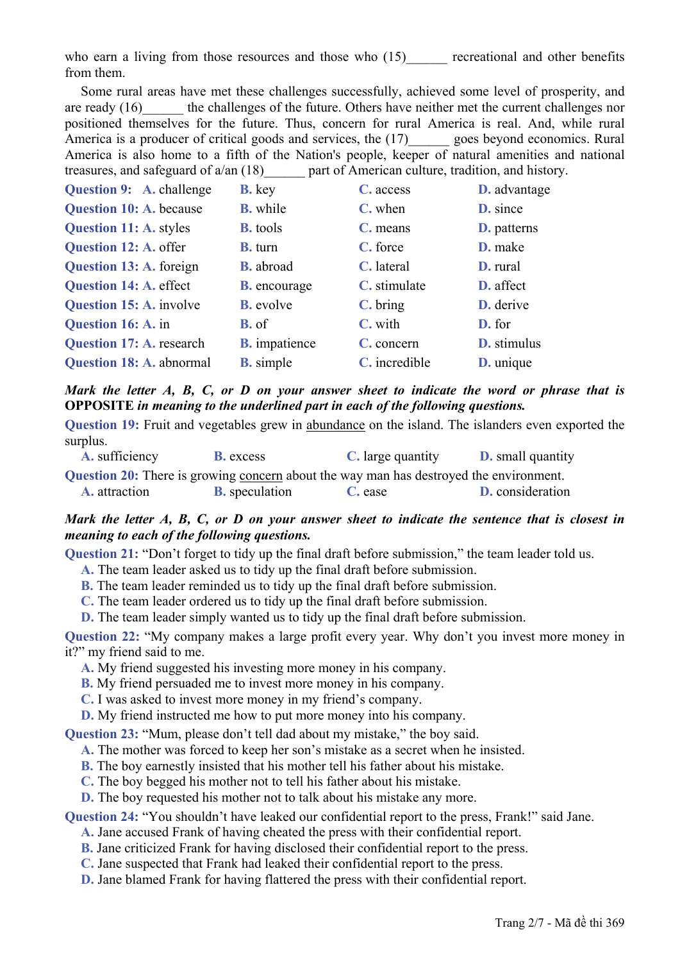who earn a living from those resources and those who  $(15)$  recreational and other benefits from them.

Some rural areas have met these challenges successfully, achieved some level of prosperity, and are ready (16) the challenges of the future. Others have neither met the current challenges nor positioned themselves for the future. Thus, concern for rural America is real. And, while rural America is a producer of critical goods and services, the (17) goes beyond economics. Rural America is also home to a fifth of the Nation's people, keeper of natural amenities and national treasures, and safeguard of a/an (18) part of American culture, tradition, and history.

| Question 9: A. challenge        | <b>B.</b> key        | C. access     | D. advantage       |
|---------------------------------|----------------------|---------------|--------------------|
| <b>Question 10: A. because</b>  | <b>B.</b> while      | C. when       | D. since           |
| Question 11: A. styles          | <b>B.</b> tools      | C. means      | <b>D.</b> patterns |
| <b>Question 12: A. offer</b>    | <b>B.</b> turn       | C. force      | D. make            |
| Question 13: A. foreign         | <b>B.</b> abroad     | C. lateral    | <b>D.</b> rural    |
| Question 14: A. effect          | <b>B.</b> encourage  | C. stimulate  | D. affect          |
| <b>Question 15: A. involve</b>  | <b>B.</b> evolve     | C. bring      | D. derive          |
| <b>Question 16: A. in</b>       | <b>B.</b> of         | C. with       | D. for             |
| <b>Question 17: A. research</b> | <b>B.</b> impatience | C. concern    | D. stimulus        |
| <b>Question 18: A. abnormal</b> | <b>B.</b> simple     | C. incredible | D. unique          |

*Mark the letter A, B, C, or D on your answer sheet to indicate the word or phrase that is*  **OPPOSITE** *in meaning to the underlined part in each of the following questions.* 

**Question 19:** Fruit and vegetables grew in abundance on the island. The islanders even exported the surplus.

| <b>A.</b> sufficiency | <b>B.</b> excess      | C. large quantity                                                                             | <b>D.</b> small quantity |
|-----------------------|-----------------------|-----------------------------------------------------------------------------------------------|--------------------------|
|                       |                       | <b>Question 20:</b> There is growing concern about the way man has destroyed the environment. |                          |
| <b>A.</b> attraction  | <b>B.</b> speculation | C. ease                                                                                       | <b>D.</b> consideration  |

# *Mark the letter A, B, C, or D on your answer sheet to indicate the sentence that is closest in meaning to each of the following questions.*

**Question 21:** "Don't forget to tidy up the final draft before submission," the team leader told us.

**A.** The team leader asked us to tidy up the final draft before submission.

- **B.** The team leader reminded us to tidy up the final draft before submission.
- **C.** The team leader ordered us to tidy up the final draft before submission.
- **D.** The team leader simply wanted us to tidy up the final draft before submission.

**Question 22:** "My company makes a large profit every year. Why don't you invest more money in it?" my friend said to me.

- **A.** My friend suggested his investing more money in his company.
- **B.** My friend persuaded me to invest more money in his company.
- **C.** I was asked to invest more money in my friend's company.
- **D.** My friend instructed me how to put more money into his company.

**Question 23:** "Mum, please don't tell dad about my mistake," the boy said.

- **A.** The mother was forced to keep her son's mistake as a secret when he insisted.
- **B.** The boy earnestly insisted that his mother tell his father about his mistake.
- **C.** The boy begged his mother not to tell his father about his mistake.
- **D.** The boy requested his mother not to talk about his mistake any more.

**Question 24:** "You shouldn't have leaked our confidential report to the press, Frank!" said Jane.

- **A.** Jane accused Frank of having cheated the press with their confidential report.
- **B.** Jane criticized Frank for having disclosed their confidential report to the press.
- **C.** Jane suspected that Frank had leaked their confidential report to the press.
- **D.** Jane blamed Frank for having flattered the press with their confidential report.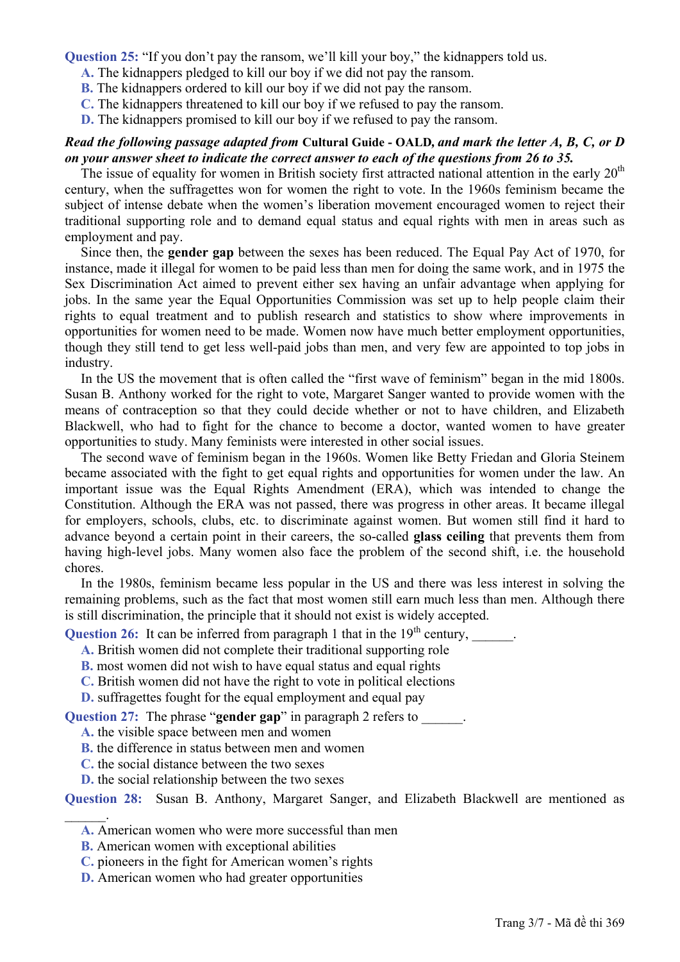**Question 25:** "If you don't pay the ransom, we'll kill your boy," the kidnappers told us.

- **A.** The kidnappers pledged to kill our boy if we did not pay the ransom.
- **B.** The kidnappers ordered to kill our boy if we did not pay the ransom.
- **C.** The kidnappers threatened to kill our boy if we refused to pay the ransom.
- **D.** The kidnappers promised to kill our boy if we refused to pay the ransom.

### *Read the following passage adapted from* **Cultural Guide - OALD***, and mark the letter A, B, C, or D on your answer sheet to indicate the correct answer to each of the questions from 26 to 35.*

The issue of equality for women in British society first attracted national attention in the early  $20<sup>th</sup>$ century, when the suffragettes won for women the right to vote. In the 1960s feminism became the subject of intense debate when the women's liberation movement encouraged women to reject their traditional supporting role and to demand equal status and equal rights with men in areas such as employment and pay.

Since then, the **gender gap** between the sexes has been reduced. The Equal Pay Act of 1970, for instance, made it illegal for women to be paid less than men for doing the same work, and in 1975 the Sex Discrimination Act aimed to prevent either sex having an unfair advantage when applying for jobs. In the same year the Equal Opportunities Commission was set up to help people claim their rights to equal treatment and to publish research and statistics to show where improvements in opportunities for women need to be made. Women now have much better employment opportunities, though they still tend to get less well-paid jobs than men, and very few are appointed to top jobs in industry.

In the US the movement that is often called the "first wave of feminism" began in the mid 1800s. Susan B. Anthony worked for the right to vote, Margaret Sanger wanted to provide women with the means of contraception so that they could decide whether or not to have children, and Elizabeth Blackwell, who had to fight for the chance to become a doctor, wanted women to have greater opportunities to study. Many feminists were interested in other social issues.

The second wave of feminism began in the 1960s. Women like Betty Friedan and Gloria Steinem became associated with the fight to get equal rights and opportunities for women under the law. An important issue was the Equal Rights Amendment (ERA), which was intended to change the Constitution. Although the ERA was not passed, there was progress in other areas. It became illegal for employers, schools, clubs, etc. to discriminate against women. But women still find it hard to advance beyond a certain point in their careers, the so-called **glass ceiling** that prevents them from having high-level jobs. Many women also face the problem of the second shift, i.e. the household chores.

In the 1980s, feminism became less popular in the US and there was less interest in solving the remaining problems, such as the fact that most women still earn much less than men. Although there is still discrimination, the principle that it should not exist is widely accepted.

**Question 26:** It can be inferred from paragraph 1 that in the 19<sup>th</sup> century, \_\_\_\_\_\_.

- **A.** British women did not complete their traditional supporting role
- **B.** most women did not wish to have equal status and equal rights
- **C.** British women did not have the right to vote in political elections

**D.** suffragettes fought for the equal employment and equal pay

**Question 27:** The phrase "**gender gap**" in paragraph 2 refers to

- **A.** the visible space between men and women
- **B.** the difference in status between men and women
- **C.** the social distance between the two sexes

 $\mathcal{L}=\mathcal{L}$ 

**D.** the social relationship between the two sexes

**Question 28:** Susan B. Anthony, Margaret Sanger, and Elizabeth Blackwell are mentioned as

- **A.** American women who were more successful than men
- **B.** American women with exceptional abilities
- **C.** pioneers in the fight for American women's rights
- **D.** American women who had greater opportunities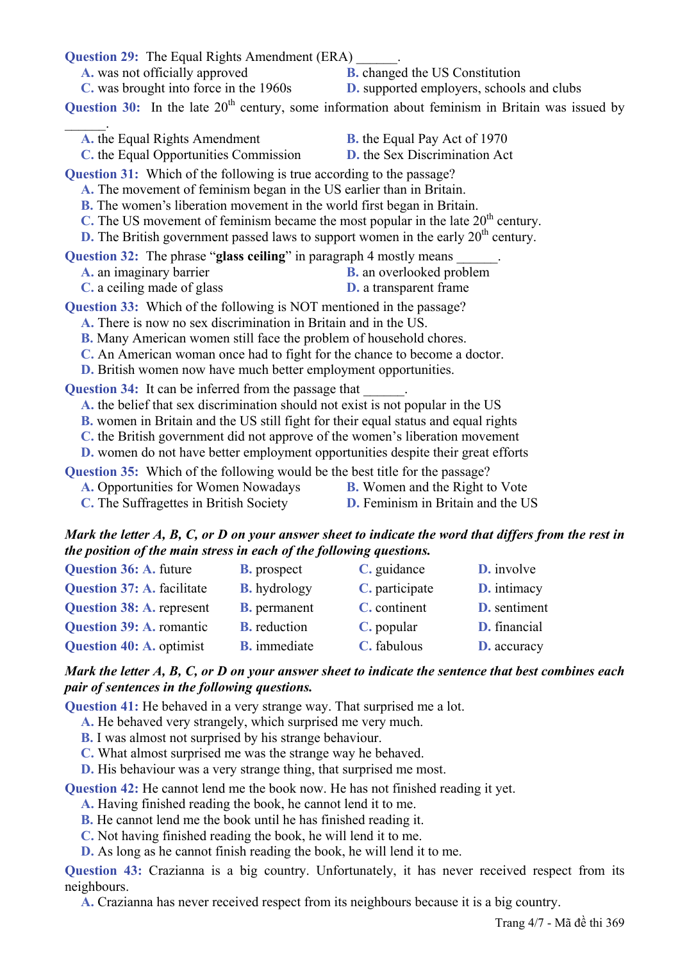| <b>Question 29:</b> The Equal Rights Amendment (ERA)                                                                                                                                                                                                                                                                                                                                                                                                                                                                                                                                                                                                  |                                                                                                   |  |  |
|-------------------------------------------------------------------------------------------------------------------------------------------------------------------------------------------------------------------------------------------------------------------------------------------------------------------------------------------------------------------------------------------------------------------------------------------------------------------------------------------------------------------------------------------------------------------------------------------------------------------------------------------------------|---------------------------------------------------------------------------------------------------|--|--|
| A. was not officially approved                                                                                                                                                                                                                                                                                                                                                                                                                                                                                                                                                                                                                        | <b>B.</b> changed the US Constitution                                                             |  |  |
| C. was brought into force in the 1960s D. supported employers, schools and clubs                                                                                                                                                                                                                                                                                                                                                                                                                                                                                                                                                                      |                                                                                                   |  |  |
|                                                                                                                                                                                                                                                                                                                                                                                                                                                                                                                                                                                                                                                       | Question 30: In the late $20th$ century, some information about feminism in Britain was issued by |  |  |
| A. the Equal Rights Amendment                                                                                                                                                                                                                                                                                                                                                                                                                                                                                                                                                                                                                         | <b>B.</b> the Equal Pay Act of 1970                                                               |  |  |
| C. the Equal Opportunities Commission                                                                                                                                                                                                                                                                                                                                                                                                                                                                                                                                                                                                                 | D. the Sex Discrimination Act                                                                     |  |  |
| Question 31: Which of the following is true according to the passage?<br>A. The movement of feminism began in the US earlier than in Britain.<br><b>B.</b> The women's liberation movement in the world first began in Britain.<br>C. The US movement of feminism became the most popular in the late $20th$ century.<br><b>D.</b> The British government passed laws to support women in the early $20th$ century.                                                                                                                                                                                                                                   |                                                                                                   |  |  |
| <b>Question 32:</b> The phrase " <b>glass ceiling</b> " in paragraph 4 mostly means<br>A. an imaginary barrier<br>C. a ceiling made of glass                                                                                                                                                                                                                                                                                                                                                                                                                                                                                                          | <b>B.</b> an overlooked problem<br><b>D.</b> a transparent frame                                  |  |  |
| Question 33: Which of the following is NOT mentioned in the passage?<br>A. There is now no sex discrimination in Britain and in the US.<br><b>B.</b> Many American women still face the problem of household chores.<br>C. An American woman once had to fight for the chance to become a doctor.<br><b>D.</b> British women now have much better employment opportunities.                                                                                                                                                                                                                                                                           |                                                                                                   |  |  |
| Question 34: It can be inferred from the passage that<br>A, the belief that sex discrimination should not exist is not popular in the US<br>B. women in Britain and the US still fight for their equal status and equal rights<br>C. the British government did not approve of the women's liberation movement<br><b>D.</b> women do not have better employment opportunities despite their great efforts<br>Question 35: Which of the following would be the best title for the passage?<br>A. Opportunities for Women Nowadays B. Women and the Right to Vote<br><b>D.</b> Feminism in Britain and the US<br>C. The Suffragettes in British Society |                                                                                                   |  |  |
|                                                                                                                                                                                                                                                                                                                                                                                                                                                                                                                                                                                                                                                       |                                                                                                   |  |  |

## *Mark the letter A, B, C, or D on your answer sheet to indicate the word that differs from the rest in the position of the main stress in each of the following questions.*

| <b>Question 36: A. future</b>     | <b>B.</b> prospect  | C. guidance    | <b>D.</b> involve   |
|-----------------------------------|---------------------|----------------|---------------------|
| <b>Question 37: A. facilitate</b> | <b>B.</b> hydrology | C. participate | <b>D.</b> intimacy  |
| Question 38: A. represent         | <b>B.</b> permanent | C. continent   | <b>D.</b> sentiment |
| <b>Question 39: A. romantic</b>   | <b>B.</b> reduction | C. popular     | D. financial        |
| <b>Question 40: A. optimist</b>   | <b>B.</b> immediate | C. fabulous    | <b>D.</b> accuracy  |
|                                   |                     |                |                     |

## *Mark the letter A, B, C, or D on your answer sheet to indicate the sentence that best combines each pair of sentences in the following questions.*

**Question 41:** He behaved in a very strange way. That surprised me a lot.

- **A.** He behaved very strangely, which surprised me very much.
- **B.** I was almost not surprised by his strange behaviour.
- **C.** What almost surprised me was the strange way he behaved.
- **D.** His behaviour was a very strange thing, that surprised me most.

**Question 42:** He cannot lend me the book now. He has not finished reading it yet.

- **A.** Having finished reading the book, he cannot lend it to me.
- **B.** He cannot lend me the book until he has finished reading it.
- **C.** Not having finished reading the book, he will lend it to me.
- **D.** As long as he cannot finish reading the book, he will lend it to me.

**Question 43:** Crazianna is a big country. Unfortunately, it has never received respect from its neighbours.

**A.** Crazianna has never received respect from its neighbours because it is a big country.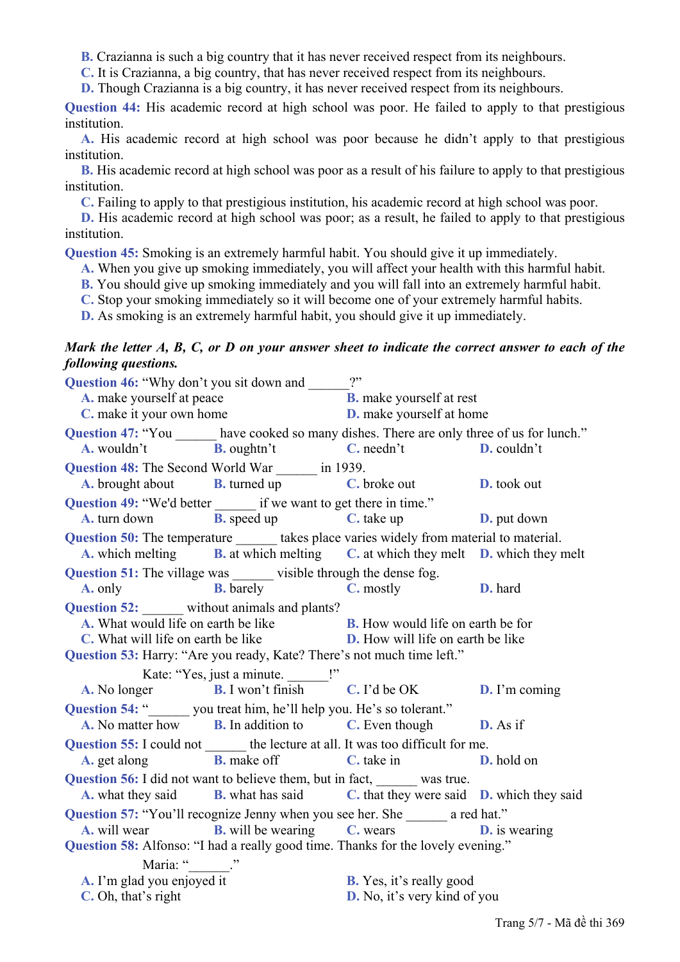**B.** Crazianna is such a big country that it has never received respect from its neighbours.

**C.** It is Crazianna, a big country, that has never received respect from its neighbours.

**D.** Though Crazianna is a big country, it has never received respect from its neighbours.

**Question 44:** His academic record at high school was poor. He failed to apply to that prestigious institution.

**A.** His academic record at high school was poor because he didn't apply to that prestigious institution.

**B.** His academic record at high school was poor as a result of his failure to apply to that prestigious institution.

**C.** Failing to apply to that prestigious institution, his academic record at high school was poor.

**D.** His academic record at high school was poor; as a result, he failed to apply to that prestigious institution.

**Question 45:** Smoking is an extremely harmful habit. You should give it up immediately.

**A.** When you give up smoking immediately, you will affect your health with this harmful habit.

**B.** You should give up smoking immediately and you will fall into an extremely harmful habit.

**C.** Stop your smoking immediately so it will become one of your extremely harmful habits.

**D.** As smoking is an extremely harmful habit, you should give it up immediately.

### *Mark the letter A, B, C, or D on your answer sheet to indicate the correct answer to each of the following questions.*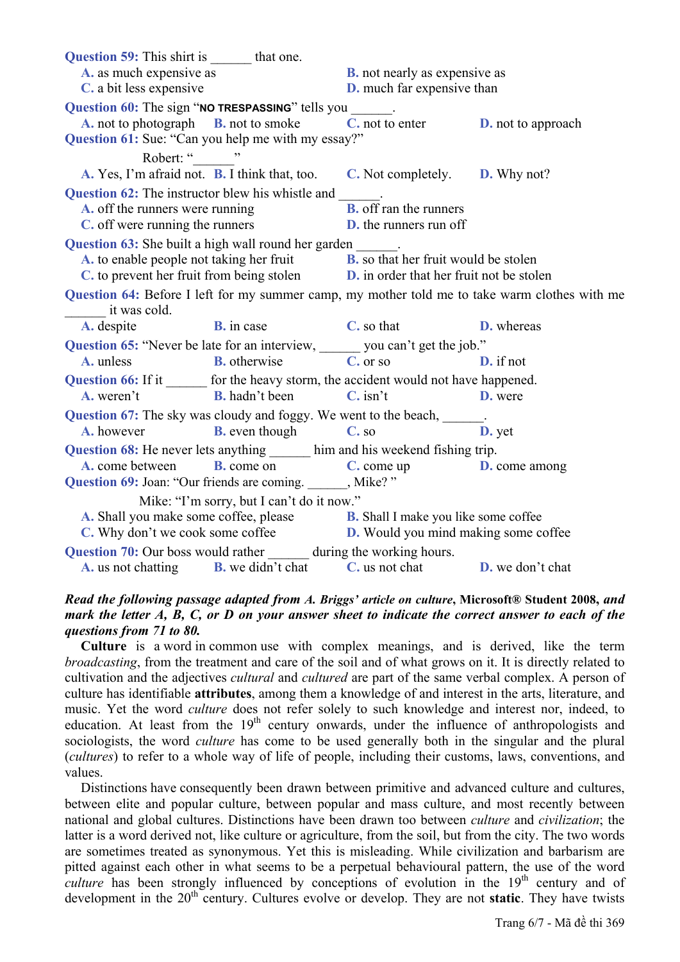| Question 59: This shirt is _______ that one.                                                                                                                                                          |                                                                                                  |                                                                                   |                                                                                               |
|-------------------------------------------------------------------------------------------------------------------------------------------------------------------------------------------------------|--------------------------------------------------------------------------------------------------|-----------------------------------------------------------------------------------|-----------------------------------------------------------------------------------------------|
| A. as much expensive as                                                                                                                                                                               |                                                                                                  | <b>B.</b> not nearly as expensive as                                              |                                                                                               |
| C. a bit less expensive                                                                                                                                                                               |                                                                                                  | <b>D.</b> much far expensive than                                                 |                                                                                               |
|                                                                                                                                                                                                       | Question 60: The sign "NO TRESPASSING" tells you ______.                                         |                                                                                   |                                                                                               |
|                                                                                                                                                                                                       | <b>A.</b> not to photograph <b>B.</b> not to smoke                                               | $\overline{\mathbf{C}}$ , not to enter $\qquad \qquad$ <b>D</b> , not to approach |                                                                                               |
|                                                                                                                                                                                                       | Question 61: Sue: "Can you help me with my essay?"                                               |                                                                                   |                                                                                               |
| Robert: " "                                                                                                                                                                                           |                                                                                                  |                                                                                   |                                                                                               |
|                                                                                                                                                                                                       | A. Yes, I'm afraid not. <b>B.</b> I think that, too. C. Not completely. <b>D.</b> Why not?       |                                                                                   |                                                                                               |
|                                                                                                                                                                                                       | Question 62: The instructor blew his whistle and _______.                                        |                                                                                   |                                                                                               |
| A. off the runners were running                                                                                                                                                                       |                                                                                                  | <b>B.</b> off ran the runners                                                     |                                                                                               |
| C. off were running the runners                                                                                                                                                                       |                                                                                                  | <b>D.</b> the runners run off                                                     |                                                                                               |
|                                                                                                                                                                                                       | Question 63: She built a high wall round her garden ______.                                      |                                                                                   |                                                                                               |
|                                                                                                                                                                                                       |                                                                                                  |                                                                                   |                                                                                               |
| <b>A.</b> to enable people not taking her fruit<br><b>B.</b> so that her fruit would be stolen<br><b>C.</b> to prevent her fruit from being stolen<br><b>D.</b> in order that her fruit not be stolen |                                                                                                  |                                                                                   |                                                                                               |
| it was cold.                                                                                                                                                                                          |                                                                                                  |                                                                                   | Question 64: Before I left for my summer camp, my mother told me to take warm clothes with me |
| A. despite                                                                                                                                                                                            | <b>B.</b> in case <b>C.</b> so that                                                              |                                                                                   | <b>D.</b> whereas                                                                             |
|                                                                                                                                                                                                       | Question 65: "Never be late for an interview, we you can't get the job."                         |                                                                                   |                                                                                               |
| A. unless                                                                                                                                                                                             | <b>B.</b> otherwise <b>C.</b> or so                                                              | $\mathbf{D}$ , if not                                                             |                                                                                               |
|                                                                                                                                                                                                       | Question 66: If it _______ for the heavy storm, the accident would not have happened.            |                                                                                   |                                                                                               |
|                                                                                                                                                                                                       | <b>A.</b> weren't <b>B.</b> hadn't been <b>C.</b> isn't                                          | D. were                                                                           |                                                                                               |
|                                                                                                                                                                                                       | Question 67: The sky was cloudy and foggy. We went to the beach, ______.                         |                                                                                   |                                                                                               |
| A. however                                                                                                                                                                                            | <b>B.</b> even though <b>C.</b> so                                                               |                                                                                   | D. yet                                                                                        |
| Question 68: He never lets anything _______ him and his weekend fishing trip.                                                                                                                         |                                                                                                  |                                                                                   |                                                                                               |
|                                                                                                                                                                                                       | <b>A.</b> come between <b>B.</b> come on <b>C.</b> come up                                       |                                                                                   | <b>D.</b> come among                                                                          |
|                                                                                                                                                                                                       | Question 69: Joan: "Our friends are coming. ______, Mike?"                                       |                                                                                   |                                                                                               |
|                                                                                                                                                                                                       | Mike: "I'm sorry, but I can't do it now."                                                        |                                                                                   |                                                                                               |
| <b>A.</b> Shall you make some coffee, please <b>B.</b> Shall I make you like some coffee <b>C</b> . Why don't we cook some coffee <b>D.</b> Would you mind making some coffee                         |                                                                                                  |                                                                                   |                                                                                               |
|                                                                                                                                                                                                       |                                                                                                  |                                                                                   |                                                                                               |
| Question 70: Our boss would rather _______ during the working hours.                                                                                                                                  |                                                                                                  |                                                                                   |                                                                                               |
|                                                                                                                                                                                                       | <b>A.</b> us not chatting <b>B.</b> we didn't chat <b>C.</b> us not chat <b>D.</b> we don't chat |                                                                                   |                                                                                               |
|                                                                                                                                                                                                       |                                                                                                  |                                                                                   |                                                                                               |

#### *Read the following passage adapted from A. Briggs' article on culture***, Microsoft® Student 2008,** *and mark the letter A, B, C, or D on your answer sheet to indicate the correct answer to each of the questions from 71 to 80.*

**Culture** is a word in common use with complex meanings, and is derived, like the term *broadcasting*, from the treatment and care of the soil and of what grows on it. It is directly related to cultivation and the adjectives *cultural* and *cultured* are part of the same verbal complex. A person of culture has identifiable **attributes**, among them a knowledge of and interest in the arts, literature, and music. Yet the word *culture* does not refer solely to such knowledge and interest nor, indeed, to education. At least from the 19<sup>th</sup> century onwards, under the influence of anthropologists and sociologists, the word *culture* has come to be used generally both in the singular and the plural (*cultures*) to refer to a whole way of life of people, including their customs, laws, conventions, and values.

Distinctions have consequently been drawn between primitive and advanced culture and cultures, between elite and popular culture, between popular and mass culture, and most recently between national and global cultures. Distinctions have been drawn too between *culture* and *civilization*; the latter is a word derived not, like culture or agriculture, from the soil, but from the city. The two words are sometimes treated as synonymous. Yet this is misleading. While civilization and barbarism are pitted against each other in what seems to be a perpetual behavioural pattern, the use of the word *culture* has been strongly influenced by conceptions of evolution in the 19<sup>th</sup> century and of development in the 20<sup>th</sup> century. Cultures evolve or develop. They are not **static**. They have twists